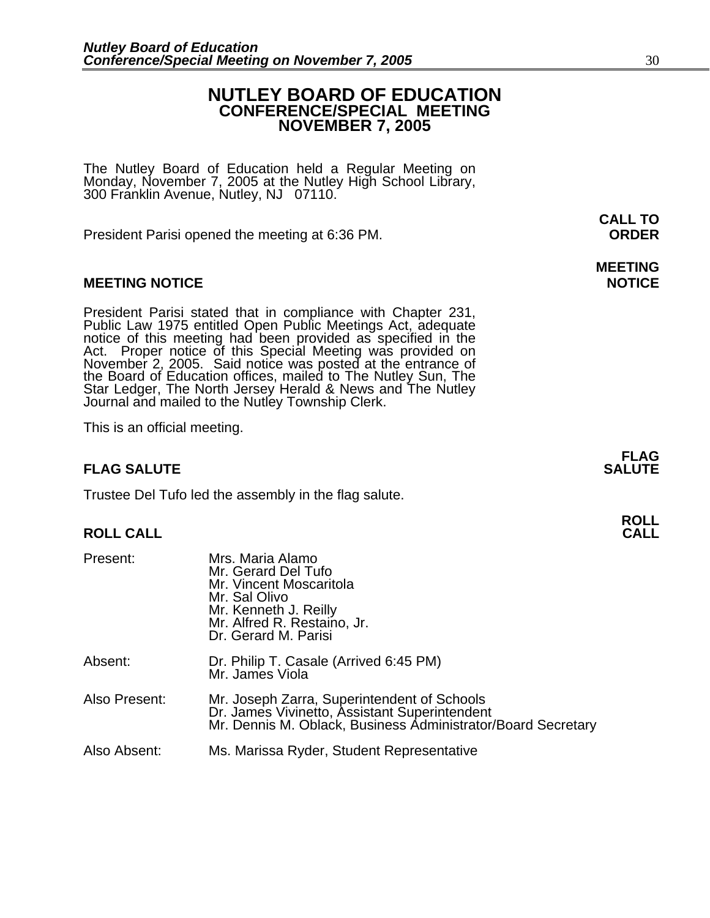## **NUTLEY BOARD OF EDUCATION CONFERENCE/SPECIAL MEETING NOVEMBER 7, 2005**

The Nutley Board of Education held a Regular Meeting on Monday, November 7, 2005 at the Nutley High School Library, 300 Franklin Avenue, Nutley, NJ 07110.

President Parisi opened the meeting at 6:36 PM. **ORDER**

## **MEETING NOTICE NOTICE REPORTS AND ALCOHOL**

President Parisi stated that in compliance with Chapter 231,<br>Public Law 1975 entitled Open Public Meetings Act, adequate<br>notice of this meeting had been provided as specified in the<br>Act. Proper notice of this Special Meeti

This is an official meeting.

## **FLAG SALUTE** SALUTE

Trustee Del Tufo led the assembly in the flag salute.

## **ROLL CALL**

| Present:      | Mrs. Maria Alamo<br>Mr. Gerard Del Tufo<br>Mr. Vincent Moscaritola<br>Mr. Sal Olivo<br>Mr. Kenneth J. Reilly<br>Mr. Alfred R. Restaino, Jr.<br>Dr. Gerard M. Parisi |
|---------------|---------------------------------------------------------------------------------------------------------------------------------------------------------------------|
| Absent:       | Dr. Philip T. Casale (Arrived 6:45 PM)<br>Mr. James Viola                                                                                                           |
| Also Present: | Mr. Joseph Zarra, Superintendent of Schools<br>Dr. James Vivinetto, Assistant Superintendent<br>Mr. Dennis M. Oblack, Business Administrator/Board Secretary        |
| Also Absent:  | Ms. Marissa Ryder, Student Representative                                                                                                                           |

**CALL TO** 

# **MEETING**

**FLAG**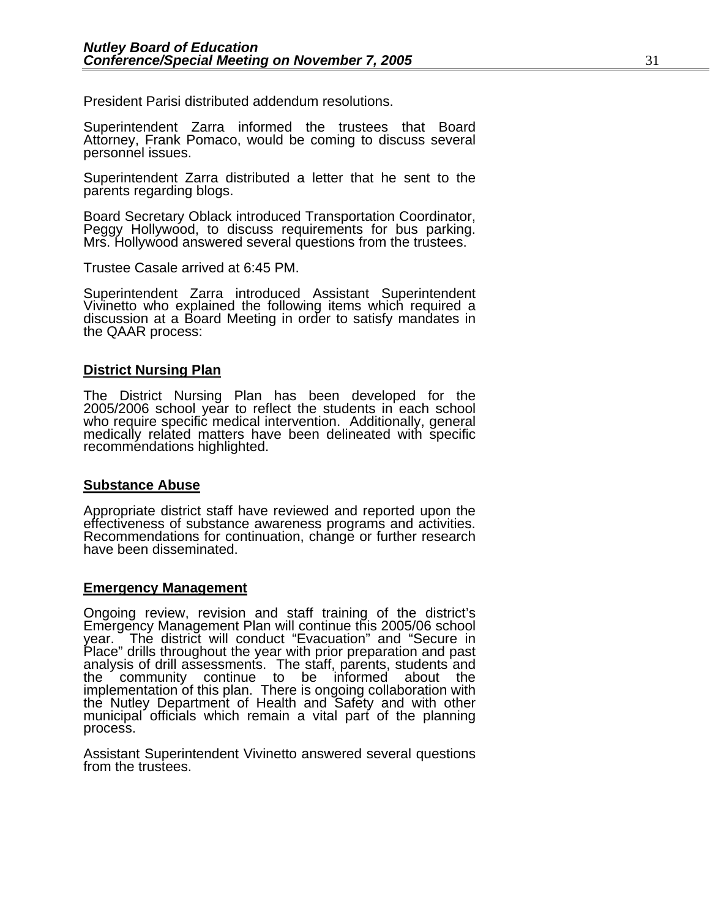President Parisi distributed addendum resolutions.

Superintendent Zarra informed the trustees that Board Attorney, Frank Pomaco, would be coming to discuss several<br>personnel issues.

Superintendent Zarra distributed a letter that he sent to the parents regarding blogs.

Board Secretary Oblack introduced Transportation Coordinator, Peggy Hollywood, to discuss requirements for bus parking. Mrs. Hollywood answered several questions from the trustees.

Trustee Casale arrived at 6:45 PM.

Superintendent Zarra introduced Assistant Superintendent Vivinetto who explained the following items which required a discussion at a Board Meeting in order to satisfy mandates in the QAAR process:

## **District Nursing Plan**

The District Nursing Plan has been developed for the 2005/2006 school year to reflect the students in each school who require specific medical intervention. Additionally, general medically related matters have been delineated with specific recommendations highlighted.

## **Substance Abuse**

Appropriate district staff have reviewed and reported upon the effectiveness of substance awareness programs and activities. Recommendations for continuation, change or further research have been disseminated.

## **Emergency Management**

Ongoing review, revision and staff training of the district's Emergency Management Plan will continue this 2005/06 school year. The district will conduct "Evacuation" and "Secure in Place" drills throughout the year with prior preparation and past Place" drills throughout the year with prior preparation and past<br>analysis of drill assessments. The staff, parents, students and<br>the community continue to be informed about the implementation of this plan. There is ongoing collaboration with the Nutley Department of Health and Safety and with other municipal officials which remain a vital part of the planning process.

Assistant Superintendent Vivinetto answered several questions from the trustees.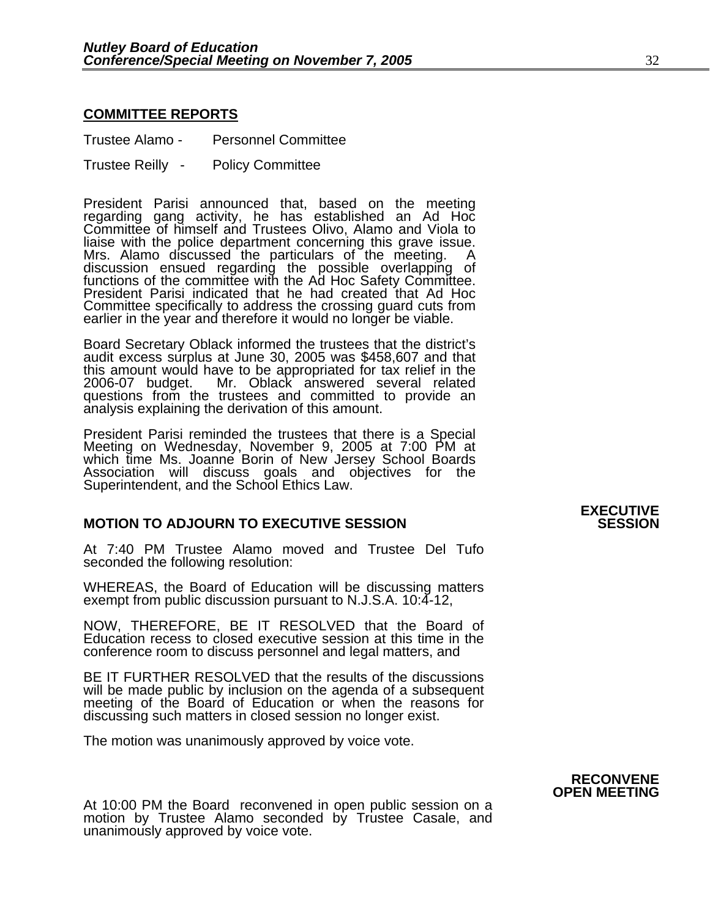## **COMMITTEE REPORTS**

Trustee Alamo - Personnel Committee

Trustee Reilly - Policy Committee

President Parisi announced that, based on the meeting regarding gang activity, he has established an Ad Hoc Committee of himself and Trustees Olivo, Alamo and Viola to liaise with the police department concerning this grave issue. Mrs. Alamo discussed the particulars of the meeting. A discussion ensued regarding the possible overlapping of<br>functions of the committee with the Ad Hoc Safety Committee.<br>President Parisi indicated that he had created that Ad Hoc Committee specifically to address the crossing guard cuts from earlier in the year and therefore it would no longer be viable.

Board Secretary Oblack informed the trustees that the district's audit excess surplus at June 30, 2005 was \$458,607 and that this amount would have to be appropriated for tax relief in the 2006-07 budget. Mr. Oblack answered several related questions from the trustees and committed to provide an analysis explaining the derivation of this amount.

President Parisi reminded the trustees that there is a Special Meeting on Wednesday, November 9, 2005 at 7:00 PM at which time Ms. Joanne Borin of New Jersey School Boards<br>Association will discuss goals and objectives for the Superintendent, and the School Ethics Law.

## **MOTION TO ADJOURN TO EXECUTIVE SESSION**

At 7:40 PM Trustee Alamo moved and Trustee Del Tufo seconded the following resolution:

WHEREAS, the Board of Education will be discussing matters exempt from public discussion pursuant to N.J.S.A. 10:4-12,

NOW, THEREFORE, BE IT RESOLVED that the Board of Education recess to closed executive session at this time in the conference room to discuss personnel and legal matters, and

BE IT FURTHER RESOLVED that the results of the discussions will be made public by inclusion on the agenda of a subsequent meeting of the Board of Education or when the reasons for discussing such matters in closed session no longer exist.

The motion was unanimously approved by voice vote.

At 10:00 PM the Board reconvened in open public session on a motion by Trustee Alamo seconded by Trustee Casale, and unanimously approved by voice vote.

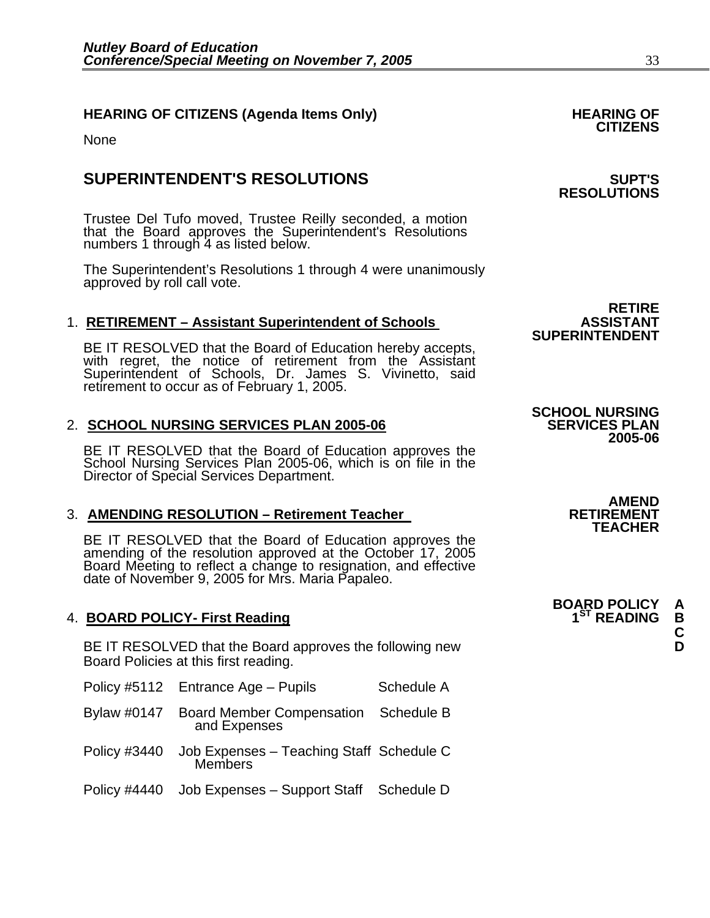## **HEARING OF CITIZENS (Agenda Items Only) HEARING OF CITIZENS**

None

## **SUPERINTENDENT'S RESOLUTIONS SUPT'S**

Trustee Del Tufo moved, Trustee Reilly seconded, a motion that the Board approves the Superintendent's Resolutions numbers 1 through 4 as listed below.

The Superintendent's Resolutions 1 through 4 were unanimously approved by roll call vote.

1. **RETIREMENT – Assistant Superintendent of Schools**<br>SUPERINTENDENT<br>BE IT RESOLVED that the Board of Education hereby accepts, BE IT RESOLVED that the Board of Education hereby accepts, with regret, the notice of retirement from the Assistant Superintendent of Schools, Dr. James S. Vivinetto, said retirement to occur as of February 1, 2005.

## 2. **SCHOOL NURSING SERVICES PLAN 2005-06**

BE IT RESOLVED that the Board of Education approves the School Nursing Services Plan 2005-06, which is on file in the Director of Special Services Department.

## **3. AMENDING RESOLUTION – Retirement Teacher**

BE IT RESOLVED that the Board of Education approves the amending of the resolution approved at the October 17, 2005 Board Meeting to reflect a change to resignation, and effective date of November 9, 2005 for Mrs. Maria Papaleo.

## 4. **BOARD POLICY- First Reading 19th Reading 19th Reading 19th READING B**

BE IT RESOLVED that the Board approves the following new **D** Board Policies at this first reading.

|              | Policy #5112 Entrance Age - Pupils                               | Schedule A |
|--------------|------------------------------------------------------------------|------------|
|              | Bylaw #0147 Board Member Compensation Schedule B<br>and Expenses |            |
| Policy #3440 | Job Expenses - Teaching Staff Schedule C<br><b>Members</b>       |            |
|              | Policy #4440 Job Expenses - Support Staff Schedule D             |            |

**RETIRE**<br>ASSISTANT

**RESOLUTIONS** 

**SCHOOL NURSING 2005-06** 

> **AMEND<br>RETIREMENT TEACHER**